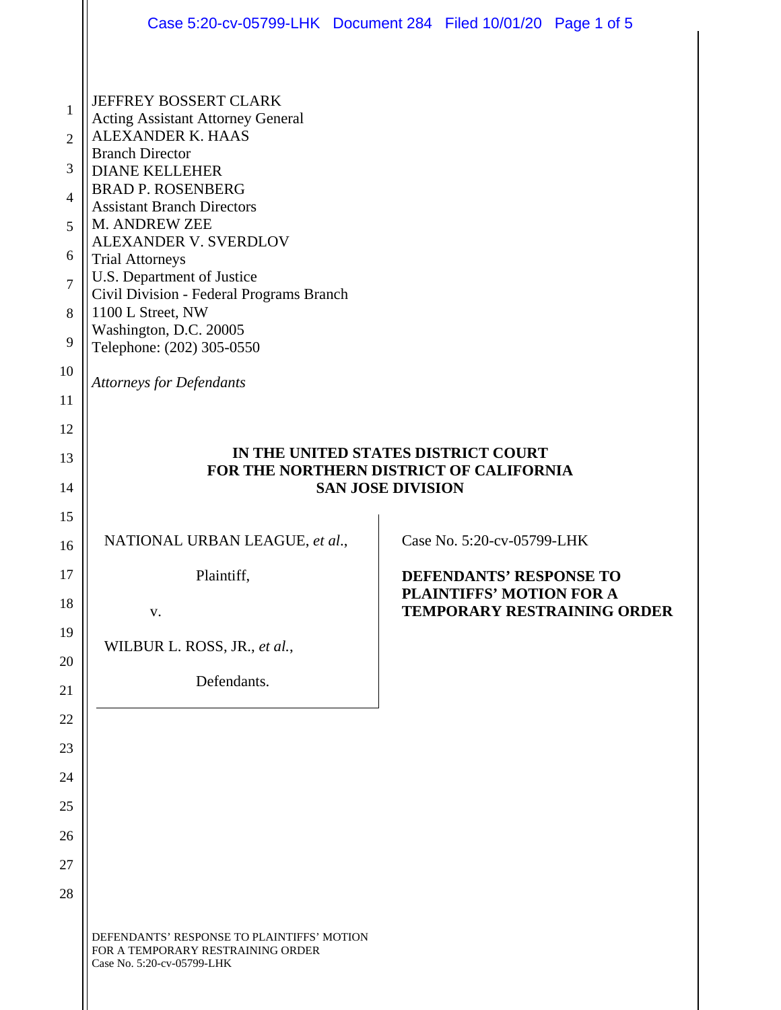|                                    | Case 5:20-cv-05799-LHK Document 284 Filed 10/01/20 Page 1 of 5                                                                                                                                                                                                     |  |                                                            |                                    |
|------------------------------------|--------------------------------------------------------------------------------------------------------------------------------------------------------------------------------------------------------------------------------------------------------------------|--|------------------------------------------------------------|------------------------------------|
| 1<br>2<br>3<br>$\overline{4}$<br>5 | <b>JEFFREY BOSSERT CLARK</b><br><b>Acting Assistant Attorney General</b><br>ALEXANDER K. HAAS<br><b>Branch Director</b><br><b>DIANE KELLEHER</b><br><b>BRAD P. ROSENBERG</b><br><b>Assistant Branch Directors</b><br>M. ANDREW ZEE<br><b>ALEXANDER V. SVERDLOV</b> |  |                                                            |                                    |
| 6<br>$\overline{7}$                | <b>Trial Attorneys</b><br>U.S. Department of Justice<br>Civil Division - Federal Programs Branch<br>1100 L Street, NW<br>Washington, D.C. 20005<br>Telephone: (202) 305-0550                                                                                       |  |                                                            |                                    |
| 8<br>9                             |                                                                                                                                                                                                                                                                    |  |                                                            |                                    |
| 10                                 | <b>Attorneys for Defendants</b>                                                                                                                                                                                                                                    |  |                                                            |                                    |
| 11<br>12                           |                                                                                                                                                                                                                                                                    |  |                                                            |                                    |
| 13                                 | IN THE UNITED STATES DISTRICT COURT<br>FOR THE NORTHERN DISTRICT OF CALIFORNIA<br><b>SAN JOSE DIVISION</b>                                                                                                                                                         |  |                                                            |                                    |
| 14                                 |                                                                                                                                                                                                                                                                    |  |                                                            |                                    |
| 15<br>16                           | NATIONAL URBAN LEAGUE, et al.,                                                                                                                                                                                                                                     |  | Case No. 5:20-cv-05799-LHK                                 |                                    |
| 17                                 | Plaintiff,                                                                                                                                                                                                                                                         |  | DEFENDANTS' RESPONSE TO<br><b>PLAINTIFFS' MOTION FOR A</b> |                                    |
| 18<br>19                           | V.                                                                                                                                                                                                                                                                 |  |                                                            | <b>TEMPORARY RESTRAINING ORDER</b> |
| 20                                 | WILBUR L. ROSS, JR., et al.,                                                                                                                                                                                                                                       |  |                                                            |                                    |
| 21                                 | Defendants.                                                                                                                                                                                                                                                        |  |                                                            |                                    |
| 22<br>23                           |                                                                                                                                                                                                                                                                    |  |                                                            |                                    |
| 24                                 |                                                                                                                                                                                                                                                                    |  |                                                            |                                    |
| 25                                 |                                                                                                                                                                                                                                                                    |  |                                                            |                                    |
| 26<br>27                           |                                                                                                                                                                                                                                                                    |  |                                                            |                                    |
| 28                                 |                                                                                                                                                                                                                                                                    |  |                                                            |                                    |
|                                    | DEFENDANTS' RESPONSE TO PLAINTIFFS' MOTION<br>FOR A TEMPORARY RESTRAINING ORDER<br>Case No. 5:20-cv-05799-LHK                                                                                                                                                      |  |                                                            |                                    |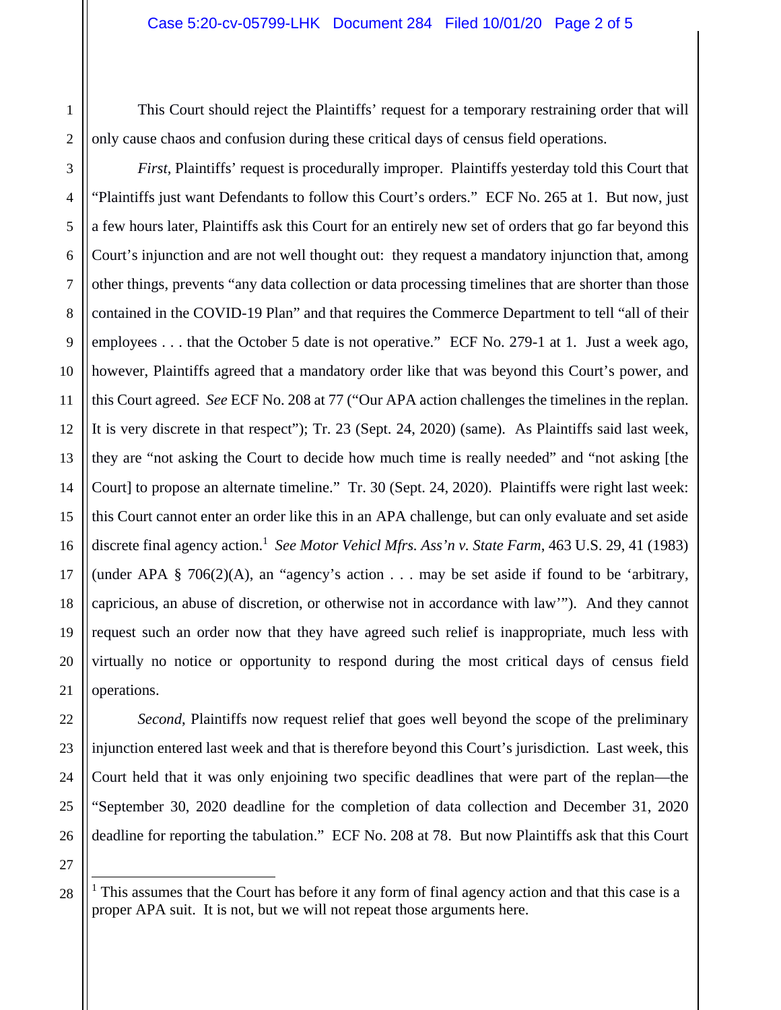This Court should reject the Plaintiffs' request for a temporary restraining order that will only cause chaos and confusion during these critical days of census field operations.

*First*, Plaintiffs' request is procedurally improper. Plaintiffs yesterday told this Court that "Plaintiffs just want Defendants to follow this Court's orders." ECF No. 265 at 1. But now, just a few hours later, Plaintiffs ask this Court for an entirely new set of orders that go far beyond this Court's injunction and are not well thought out: they request a mandatory injunction that, among other things, prevents "any data collection or data processing timelines that are shorter than those contained in the COVID-19 Plan" and that requires the Commerce Department to tell "all of their employees . . . that the October 5 date is not operative." ECF No. 279-1 at 1. Just a week ago, however, Plaintiffs agreed that a mandatory order like that was beyond this Court's power, and this Court agreed. *See* ECF No. 208 at 77 ("Our APA action challenges the timelines in the replan. It is very discrete in that respect"); Tr. 23 (Sept. 24, 2020) (same). As Plaintiffs said last week, they are "not asking the Court to decide how much time is really needed" and "not asking [the Court] to propose an alternate timeline." Tr. 30 (Sept. 24, 2020). Plaintiffs were right last week: this Court cannot enter an order like this in an APA challenge, but can only evaluate and set aside discrete final agency action.<sup>1</sup> See Motor Vehicl Mfrs. Ass'n v. State Farm, 463 U.S. 29, 41 (1983) (under APA  $\S$  706(2)(A), an "agency's action . . . may be set aside if found to be 'arbitrary, capricious, an abuse of discretion, or otherwise not in accordance with law'"). And they cannot request such an order now that they have agreed such relief is inappropriate, much less with virtually no notice or opportunity to respond during the most critical days of census field operations.

*Second*, Plaintiffs now request relief that goes well beyond the scope of the preliminary injunction entered last week and that is therefore beyond this Court's jurisdiction. Last week, this Court held that it was only enjoining two specific deadlines that were part of the replan—the "September 30, 2020 deadline for the completion of data collection and December 31, 2020 deadline for reporting the tabulation." ECF No. 208 at 78. But now Plaintiffs ask that this Court

÷

1

<sup>&</sup>lt;sup>1</sup> This assumes that the Court has before it any form of final agency action and that this case is a proper APA suit. It is not, but we will not repeat those arguments here.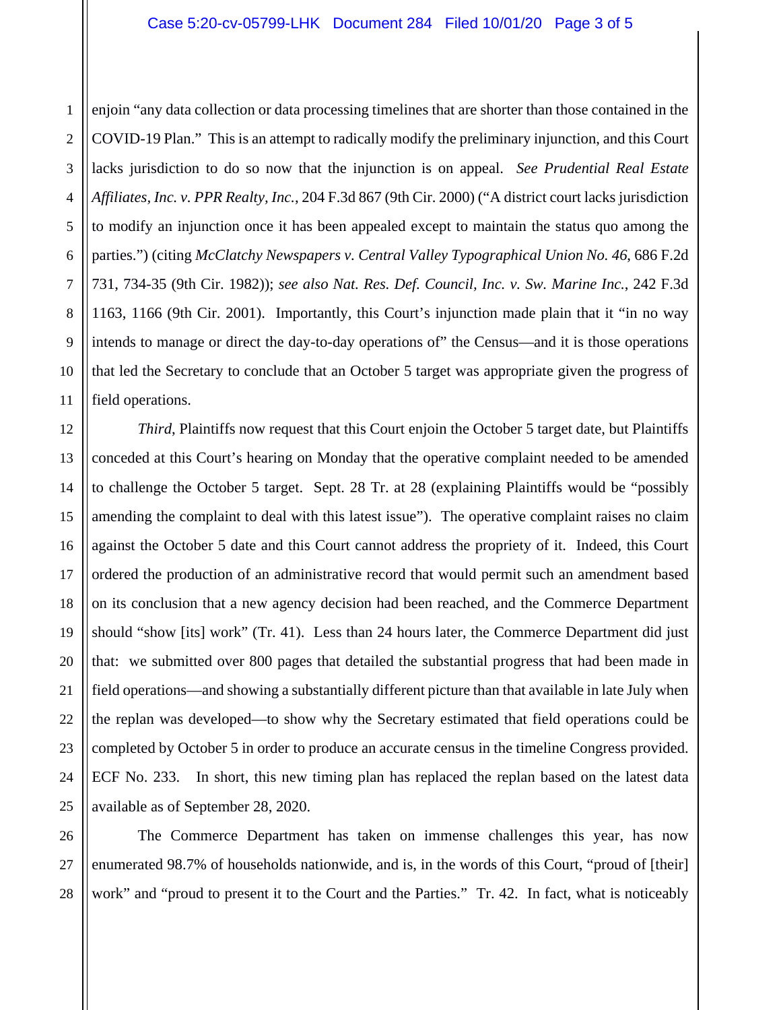enjoin "any data collection or data processing timelines that are shorter than those contained in the COVID-19 Plan." This is an attempt to radically modify the preliminary injunction, and this Court lacks jurisdiction to do so now that the injunction is on appeal. *See Prudential Real Estate Affiliates, Inc. v. PPR Realty, Inc.*, 204 F.3d 867 (9th Cir. 2000) ("A district court lacks jurisdiction to modify an injunction once it has been appealed except to maintain the status quo among the parties.") (citing *McClatchy Newspapers v. Central Valley Typographical Union No. 46*, 686 F.2d 731, 734-35 (9th Cir. 1982)); *see also Nat. Res. Def. Council, Inc. v. Sw. Marine Inc.*, 242 F.3d 1163, 1166 (9th Cir. 2001). Importantly, this Court's injunction made plain that it "in no way intends to manage or direct the day-to-day operations of" the Census—and it is those operations that led the Secretary to conclude that an October 5 target was appropriate given the progress of field operations.

*Third*, Plaintiffs now request that this Court enjoin the October 5 target date, but Plaintiffs conceded at this Court's hearing on Monday that the operative complaint needed to be amended to challenge the October 5 target. Sept. 28 Tr. at 28 (explaining Plaintiffs would be "possibly amending the complaint to deal with this latest issue"). The operative complaint raises no claim against the October 5 date and this Court cannot address the propriety of it. Indeed, this Court ordered the production of an administrative record that would permit such an amendment based on its conclusion that a new agency decision had been reached, and the Commerce Department should "show [its] work" (Tr. 41). Less than 24 hours later, the Commerce Department did just that: we submitted over 800 pages that detailed the substantial progress that had been made in field operations—and showing a substantially different picture than that available in late July when the replan was developed—to show why the Secretary estimated that field operations could be completed by October 5 in order to produce an accurate census in the timeline Congress provided. ECF No. 233.In short, this new timing plan has replaced the replan based on the latest data available as of September 28, 2020.

The Commerce Department has taken on immense challenges this year, has now enumerated 98.7% of households nationwide, and is, in the words of this Court, "proud of [their] work" and "proud to present it to the Court and the Parties." Tr. 42. In fact, what is noticeably

1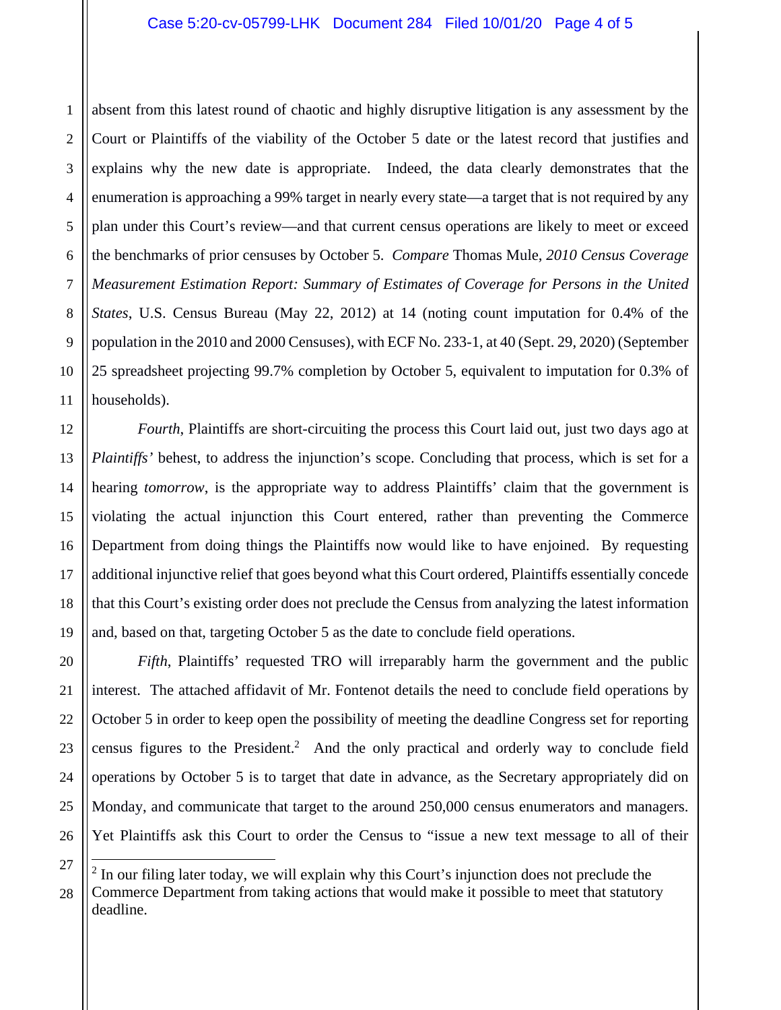1 2 3 absent from this latest round of chaotic and highly disruptive litigation is any assessment by the Court or Plaintiffs of the viability of the October 5 date or the latest record that justifies and explains why the new date is appropriate. Indeed, the data clearly demonstrates that the enumeration is approaching a 99% target in nearly every state—a target that is not required by any plan under this Court's review—and that current census operations are likely to meet or exceed the benchmarks of prior censuses by October 5. *Compare* Thomas Mule, *2010 Census Coverage Measurement Estimation Report: Summary of Estimates of Coverage for Persons in the United States*, U.S. Census Bureau (May 22, 2012) at 14 (noting count imputation for 0.4% of the population in the 2010 and 2000 Censuses), with ECF No. 233-1, at 40 (Sept. 29, 2020) (September 25 spreadsheet projecting 99.7% completion by October 5, equivalent to imputation for 0.3% of households).

*Fourth*, Plaintiffs are short-circuiting the process this Court laid out, just two days ago at *Plaintiffs'* behest, to address the injunction's scope. Concluding that process, which is set for a hearing *tomorrow*, is the appropriate way to address Plaintiffs' claim that the government is violating the actual injunction this Court entered, rather than preventing the Commerce Department from doing things the Plaintiffs now would like to have enjoined. By requesting additional injunctive relief that goes beyond what this Court ordered, Plaintiffs essentially concede that this Court's existing order does not preclude the Census from analyzing the latest information and, based on that, targeting October 5 as the date to conclude field operations.

*Fifth*, Plaintiffs' requested TRO will irreparably harm the government and the public interest. The attached affidavit of Mr. Fontenot details the need to conclude field operations by October 5 in order to keep open the possibility of meeting the deadline Congress set for reporting census figures to the President.<sup>2</sup> And the only practical and orderly way to conclude field operations by October 5 is to target that date in advance, as the Secretary appropriately did on Monday, and communicate that target to the around 250,000 census enumerators and managers. Yet Plaintiffs ask this Court to order the Census to "issue a new text message to all of their

÷

 $2$  In our filing later today, we will explain why this Court's injunction does not preclude the Commerce Department from taking actions that would make it possible to meet that statutory deadline.